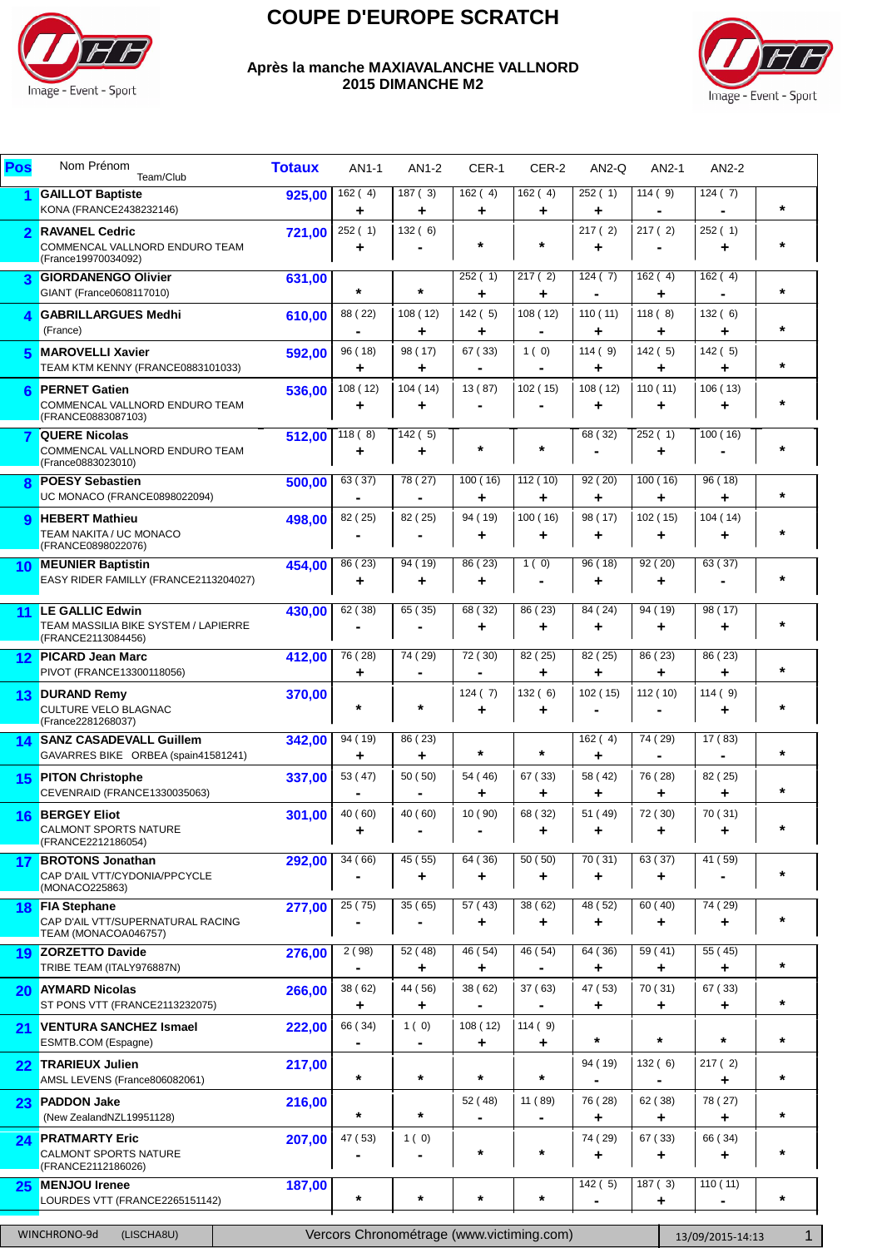

# **COUPE D'EUROPE SCRATCH**

**Après la manche MAXIAVALANCHE VALLNORD 2015 DIMANCHE M2**



| Pos          | Nom Prénom<br>Team/Club                                                                          | <b>Totaux</b> | AN1-1        | AN1-2        | CER-1        | CER-2        | $AN2-Q$       | AN2-1         | AN2-2         |          |
|--------------|--------------------------------------------------------------------------------------------------|---------------|--------------|--------------|--------------|--------------|---------------|---------------|---------------|----------|
|              | <b>GAILLOT Baptiste</b><br>KONA (FRANCE2438232146)                                               | 925,00        | 162(4)<br>٠  | 187(3)<br>٠  | 162(4)<br>٠  | 162(4)<br>٠  | 252(1)<br>٠   | 114(9)        | 124(7)        | $\star$  |
| 2            | <b>RAVANEL Cedric</b><br>COMMENCAL VALLNORD ENDURO TEAM<br>(France19970034092)                   | 721.00        | 252(1)<br>٠  | 132(6)       | $\star$      | $^\star$     | 217(2)        | 217(2)        | 252(1)        | *        |
| 3            | <b>GIORDANENGO Olivier</b><br>GIANT (France0608117010)                                           | 631,00        | $\star$      | $\star$      | 252(1)<br>٠  | 217(2)<br>٠  | 124(7)        | 162(4)<br>٠   | 162(4)        | *        |
| 4            | <b>GABRILLARGUES Medhi</b><br>(France)                                                           | 610,00        | 88 (22)      | 108(12)<br>٠ | 142(5)<br>+  | 108(12)      | 110(11)<br>٠  | 118(8)<br>٠   | 132(6)<br>٠   | $^\star$ |
| 片            | <b>MAROVELLI Xavier</b><br>TEAM KTM KENNY (FRANCE0883101033)                                     | 592,00        | 96 (18)<br>٠ | 98 (17)<br>٠ | 67 (33)      | 1(0)         | 114(9)<br>٠   | 142 ( 5)<br>٠ | 142(5)<br>٠   | $\star$  |
|              | <b>PERNET Gatien</b><br>COMMENCAL VALLNORD ENDURO TEAM<br>(FRANCE0883087103)                     | 536,00        | 108(12)      | 104(14)<br>٠ | 13 (87)      | 102 (15)     | 108 (12)<br>٠ | 110(11)<br>٠  | 106 (13)<br>+ | *        |
|              | <b>QUERE Nicolas</b><br>COMMENCAL VALLNORD ENDURO TEAM<br>(France0883023010)                     | 512,00        | 118(8)       | 142(5)<br>٠  | $\star$      | $^\star$     | 68 (32)       | 252(1)<br>٠   | 100 (16)      | *        |
| 8            | <b>POESY Sebastien</b><br>UC MONACO (FRANCE0898022094)                                           | 500,00        | 63 (37)      | 78 (27)      | 100(16)<br>٠ | 112(10)<br>٠ | 92 (20)<br>٠  | 100 (16)<br>٠ | 96 (18)<br>+  | *        |
| $\mathbf{Q}$ | <b>HEBERT Mathieu</b><br><b>TEAM NAKITA / UC MONACO</b><br>(FRANCE0898022076)                    | 498,00        | 82 (25)      | 82 (25)      | 94 (19)<br>٠ | 100(16)<br>٠ | 98 (17)<br>٠  | 102(15)<br>٠  | 104(14)<br>٠  | $\star$  |
| 10           | <b>MEUNIER Baptistin</b><br>EASY RIDER FAMILLY (FRANCE2113204027)                                | 454,00        | 86 (23)<br>٠ | 94 (19)<br>٠ | 86 (23)<br>٠ | 1(0)         | 96 (18)<br>٠  | 92 (20)<br>٠  | 63 (37)       | $\star$  |
| 11           | LE GALLIC Edwin<br>TEAM MASSILIA BIKE SYSTEM / LAPIERRE<br>(FRANCE2113084456)                    | 430,00        | 62 (38)      | 65 (35)      | 68 (32)<br>٠ | 86 (23)<br>٠ | 84 (24)       | 94 (19)<br>٠  | 98 (17)<br>٠  | *        |
| 12           | <b>PICARD Jean Marc</b><br>PIVOT (FRANCE13300118056)                                             | 412,00        | 76 (28)<br>٠ | 74 (29)      | 72 (30)      | 82 (25)<br>٠ | 82 (25)<br>÷  | 86 (23)<br>٠  | 86 (23)<br>٠  | $\star$  |
| 13           | <b>DURAND Remy</b><br>CULTURE VELO BLAGNAC<br>(France2281268037)                                 | 370,00        | $\star$      | $\star$      | 124(7)<br>٠  | 132(6)<br>٠  | 102(15)       | 112(10)       | 114(9)<br>٠   | *        |
| 14           | <b>SANZ CASADEVALL Guillem</b><br>GAVARRES BIKE ORBEA (spain41581241)                            | 342,00        | 94 (19)<br>٠ | 86 (23)<br>٠ | $\star$      | $\star$      | 162(4)<br>٠   | 74 (29)       | 17 (83)       | $\star$  |
|              | 15 PITON Christophe<br>CEVENRAID (FRANCE1330035063)                                              | 337,00        | 53 (47)      | 50(50)       | 54 (46)<br>÷ | 67 (33)<br>÷ | 58 (42)       | 76 (28)       | 82 (25)<br>٠  | $\star$  |
|              | 16 BERGEY Eliot<br><b>CALMONT SPORTS NATURE</b><br>(FRANCE2212186054)                            | 301.00        | 40 (60)<br>٠ | 40 (60)      | 10(90)       | 68 (32)<br>٠ | 51 (49)       | 72 (30)<br>٠  | 70 (31)<br>٠  | $\star$  |
| 17           | <b>BROTONS Jonathan</b><br>CAP D'AIL VTT/CYDONIA/PPCYCLE<br>(MONACO225863)                       | 292,00        | 34 (66)      | 45 (55)<br>٠ | 64 (36)<br>٠ | 50 (50)<br>٠ | 70 (31)<br>٠  | 63 (37)<br>٠  | 41 (59)       | $\star$  |
|              | <b>18 FIA Stephane</b><br>CAP D'AIL VTT/SUPERNATURAL RACING<br>TEAM (MONACOA046757)              | 277,00        | 25(75)       | 35(65)       | 57 (43)<br>٠ | 38 (62)<br>٠ | 48 (52)       | 60 (40)<br>٠  | 74 (29)<br>٠  | *        |
| 19           | <b>ZORZETTO Davide</b><br>TRIBE TEAM (ITALY976887N)                                              | 276,00        | 2(98)        | 52 (48)<br>٠ | 46 (54)<br>٠ | 46 (54)      | 64 (36)<br>٠  | 59 (41)<br>٠  | 55 (45)<br>٠  | $\star$  |
|              | 20 AYMARD Nicolas<br>ST PONS VTT (FRANCE2113232075)                                              | 266,00        | 38 (62)<br>٠ | 44 (56)<br>٠ | 38(62)       | 37 (63)<br>- | 47 (53)<br>٠  | 70 (31)<br>٠  | 67 (33)<br>٠  | *        |
| 21           | <b>VENTURA SANCHEZ Ismael</b><br>ESMTB.COM (Espagne)                                             | 222,00        | 66 (34)      | 1(0)         | 108(12)<br>٠ | 114(9)<br>٠  | $\star$       | $\star$       | $\star$       | *        |
|              | 22 TRARIEUX Julien<br>AMSL LEVENS (France806082061)                                              | 217,00        | $\star$      | $\star$      | $\star$      | $\star$      | 94 (19)       | 132(6)        | 217(2)<br>٠   | *        |
| 23           | <b>PADDON Jake</b><br>(New ZealandNZL19951128)                                                   | 216,00        | $\star$      | $\star$      | 52 (48)      | 11 (89)      | 76 (28)<br>٠  | 62 (38)<br>٠  | 78 (27)<br>٠  | *        |
| 24           | <b>PRATMARTY Eric</b><br>CALMONT SPORTS NATURE<br>(FRANCE2112186026)                             | 207,00        | 47 (53)      | 1(0)         | $\star$      | $\star$      | 74 (29)<br>٠  | 67 (33)<br>٠  | 66 (34)<br>٠  | *        |
| 25           | <b>MENJOU Irenee</b><br>LOURDES VTT (FRANCE2265151142)                                           | 187,00        | $\star$      | $\star$      | $\star$      | $\star$      | 142(5)        | 187(3)<br>٠   | 110(11)       | *        |
|              | Vercors Chronométrage (www.victiming.com)<br>WINCHRONO-9d<br>(LISCHA8U)<br>1<br>13/09/2015-14:13 |               |              |              |              |              |               |               |               |          |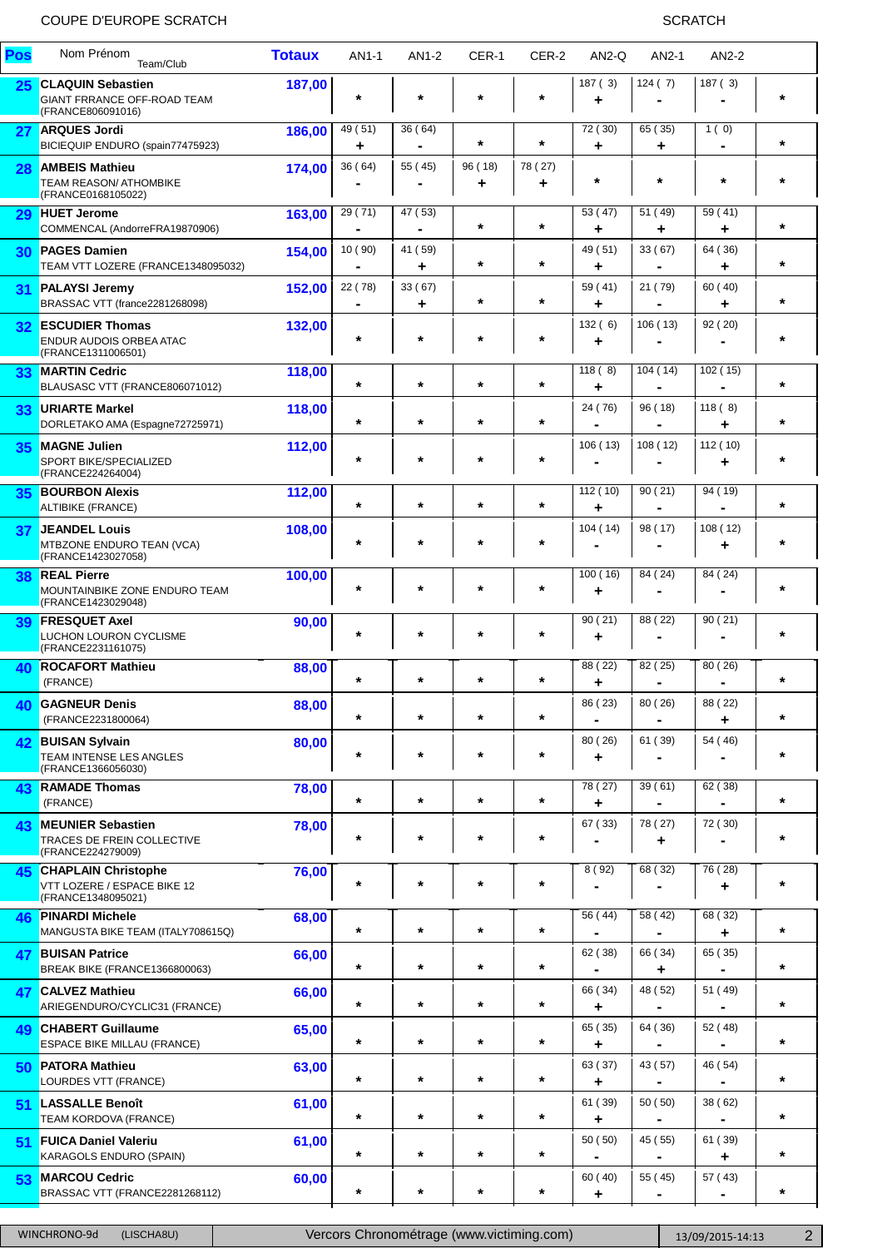### COUPE D'EUROPE SCRATCH COUPE ESTATCH

| Pos | Nom Prénom<br>Team/Club                                                         | <b>Totaux</b> | AN1-1        | AN1-2        | CER-1       | CER-2        | AN2-Q        | AN2-1        | AN2-2                     |          |
|-----|---------------------------------------------------------------------------------|---------------|--------------|--------------|-------------|--------------|--------------|--------------|---------------------------|----------|
| 25  | <b>CLAQUIN Sebastien</b><br>GIANT FRRANCE OFF-ROAD TEAM<br>(FRANCE806091016)    | 187,00        | $\star$      | $\star$      | $\star$     | $\star$      | 187(3)<br>٠  | 124(7)       | 187 (3)                   | $\star$  |
| 27  | <b>ARQUES Jordi</b><br>BICIEQUIP ENDURO (spain77475923)                         | 186,00        | 49 (51)<br>٠ | 36 (64)      | $\ast$      | $\star$      | 72 (30)<br>٠ | 65 (35)<br>٠ | 1(0)                      | $\star$  |
| 28  | <b>AMBEIS Mathieu</b><br><b>TEAM REASON/ ATHOMBIKE</b><br>(FRANCE0168105022)    | 174,00        | 36 (64)      | 55 (45)      | 96(18)<br>٠ | 78 (27)<br>٠ | $\ast$       | $^\star$     | *                         | *        |
| 29  | <b>HUET Jerome</b><br>COMMENCAL (AndorreFRA19870906)                            | 163,00        | 29 (71)      | 47 (53)      | $\star$     | $\star$      | 53 (47)<br>٠ | 51 (49)<br>٠ | 59 (41)<br>٠              | $\star$  |
| 30  | <b>PAGES Damien</b><br>TEAM VTT LOZERE (FRANCE1348095032)                       | 154,00        | 10 (90)      | 41 (59)<br>٠ | $\star$     | $\star$      | 49 (51)<br>٠ | 33 (67)      | 64 (36)<br>٠              | $\star$  |
| 31  | <b>PALAYSI Jeremy</b><br>BRASSAC VTT (france2281268098)                         | 152,00        | 22 (78)      | 33 (67)<br>٠ | $\ast$      | $\star$      | 59 (41)<br>٠ | 21 (79)      | 60 (40)<br>٠              | $\star$  |
|     | 32 ESCUDIER Thomas<br><b>ENDUR AUDOIS ORBEA ATAC</b><br>(FRANCE1311006501)      | 132,00        | $\star$      | *            | $\ast$      | $\star$      | 132(6)<br>٠  | 106(13)      | 92 (20)                   | $\star$  |
| 33  | <b>MARTIN Cedric</b><br>BLAUSASC VTT (FRANCE806071012)                          | 118,00        | $\star$      | $^\star$     | $\star$     | $\star$      | 118(8)<br>÷  | 104(14)      | 102 (15)                  | $\star$  |
| 33  | <b>URIARTE Markel</b><br>DORLETAKO AMA (Espagne72725971)                        | 118,00        | $\star$      | *            | $\star$     | $\star$      | 24 (76)      | 96 (18)      | 118(8)<br>٠               | $\star$  |
| 35  | <b>MAGNE Julien</b><br><b>SPORT BIKE/SPECIALIZED</b><br>(FRANCE224264004)       | 112,00        | $\star$      | *            | $\ast$      | $\star$      | 106(13)      | 108(12)      | 112 (10)<br>٠             | $\star$  |
| 35  | <b>BOURBON Alexis</b><br><b>ALTIBIKE (FRANCE)</b>                               | 112,00        | $\star$      | *            | $\ast$      | $\star$      | 112(10)<br>٠ | 90(21)       | 94 (19)                   | *        |
| 37  | <b>JEANDEL Louis</b><br><b>MTBZONE ENDURO TEAN (VCA)</b><br>(FRANCE1423027058)  | 108,00        | $^{\star}$   | *            | $\ast$      | $\star$      | 104(14)      | 98 (17)      | 108(12)<br>٠              | $\star$  |
| 38  | <b>REAL Pierre</b><br>MOUNTAINBIKE ZONE ENDURO TEAM<br>(FRANCE1423029048)       | 100,00        | $\star$      | $\star$      | $\ast$      | $\star$      | 100(16)<br>٠ | 84 (24)      | 84 (24)                   | $\star$  |
| 39  | <b>FRESQUET Axel</b><br>LUCHON LOURON CYCLISME<br>(FRANCE2231161075)            | 90,00         | $\star$      | *            | $\ast$      | $\star$      | 90(21)<br>٠  | 88 (22)      | 90(21)                    | $\star$  |
| 40  | <b>ROCAFORT Mathieu</b><br>(FRANCE)                                             | 88,00         | $\star$      | $\star$      | $\star$     | $\star$      | 88 (22)<br>٠ | 82 (25)      | 80 (26)                   | $\star$  |
|     | 40 GAGNEUR Denis<br>(FRANCE2231800064)                                          | 88,00         | $\star$      | $^\star$     | $\star$     | $\star$      | 86 (23)      | 80 (26)      | 88 (22)<br>٠              | $\star$  |
|     | 42 BUISAN Sylvain<br><b>TEAM INTENSE LES ANGLES</b><br>(FRANCE1366056030)       | 80,00         | $\star$      | *            | $\ast$      | $\star$      | 80 (26)<br>٠ | 61 (39)      | 54 (46)                   | $\star$  |
| 43  | <b>RAMADE Thomas</b><br>(FRANCE)                                                | 78,00         | $\star$      | $^\star$     | $\star$     | $\star$      | 78 (27)<br>٠ | 39(61)       | 62 (38)                   | $\star$  |
| 43  | <b>MEUNIER Sebastien</b><br>TRACES DE FREIN COLLECTIVE<br>(FRANCE224279009)     | 78,00         | $\star$      | *            | $^\star$    | $\star$      | 67 (33)      | 78 (27)      | 72 (30)                   | $\star$  |
| 45  | <b>CHAPLAIN Christophe</b><br>VTT LOZERE / ESPACE BIKE 12<br>(FRANCE1348095021) | 76,00         | $\star$      | *            | $^\star$    | $\star$      | 8(92)        | 68 (32)      | 76 (28)<br>٠              | $\star$  |
| 46  | <b>PINARDI Michele</b><br>MANGUSTA BIKE TEAM (ITALY708615Q)                     | 68,00         | $\star$      | $^\star$     | $\star$     | $\star$      | 56 (44)      | 58 (42)      | $\overline{68}$ (32)<br>٠ | $\star$  |
| 47  | <b>BUISAN Patrice</b><br><b>BREAK BIKE (FRANCE1366800063)</b>                   | 66,00         | $\star$      | *            | $^\star$    | $\star$      | 62 (38)      | 66 (34)<br>٠ | 65 (35)                   | $^\star$ |
| 47  | <b>CALVEZ Mathieu</b><br>ARIEGENDURO/CYCLIC31 (FRANCE)                          | 66,00         | $\star$      | $\star$      | $\star$     | $\star$      | 66 (34)<br>٠ | 48 (52)      | 51 (49)                   | $\star$  |
| 49  | <b>CHABERT Guillaume</b><br><b>ESPACE BIKE MILLAU (FRANCE)</b>                  | 65,00         | $\star$      | $\star$      | $\star$     | $\star$      | 65 (35)<br>٠ | 64 (36)      | 52 (48)                   | $\star$  |
| 50  | <b>PATORA Mathieu</b><br>LOURDES VTT (FRANCE)                                   | 63,00         | $\star$      | *            | $\star$     | $\star$      | 63 (37)<br>٠ | 43 (57)      | 46 (54)                   | $\star$  |
| 51  | <b>LASSALLE Benoît</b><br>TEAM KORDOVA (FRANCE)                                 | 61,00         | $\star$      | *            | $\ast$      | $\star$      | 61 (39)<br>٠ | 50 (50)      | 38 (62)                   | $\star$  |
| 51  | <b>FUICA Daniel Valeriu</b><br>KARAGOLS ENDURO (SPAIN)                          | 61,00         | $^{\star}$   | *            | $^\star$    | $\star$      | 50 (50)      | 45 (55)      | 61 (39)<br>٠              | $^\star$ |
| 53  | <b>MARCOU Cedric</b><br>BRASSAC VTT (FRANCE2281268112)                          | 60,00         | $^{\star}$   | *            | $\star$     | $\star$      | 60 (40)<br>٠ | 55 (45)      | 57 (43)                   | $\star$  |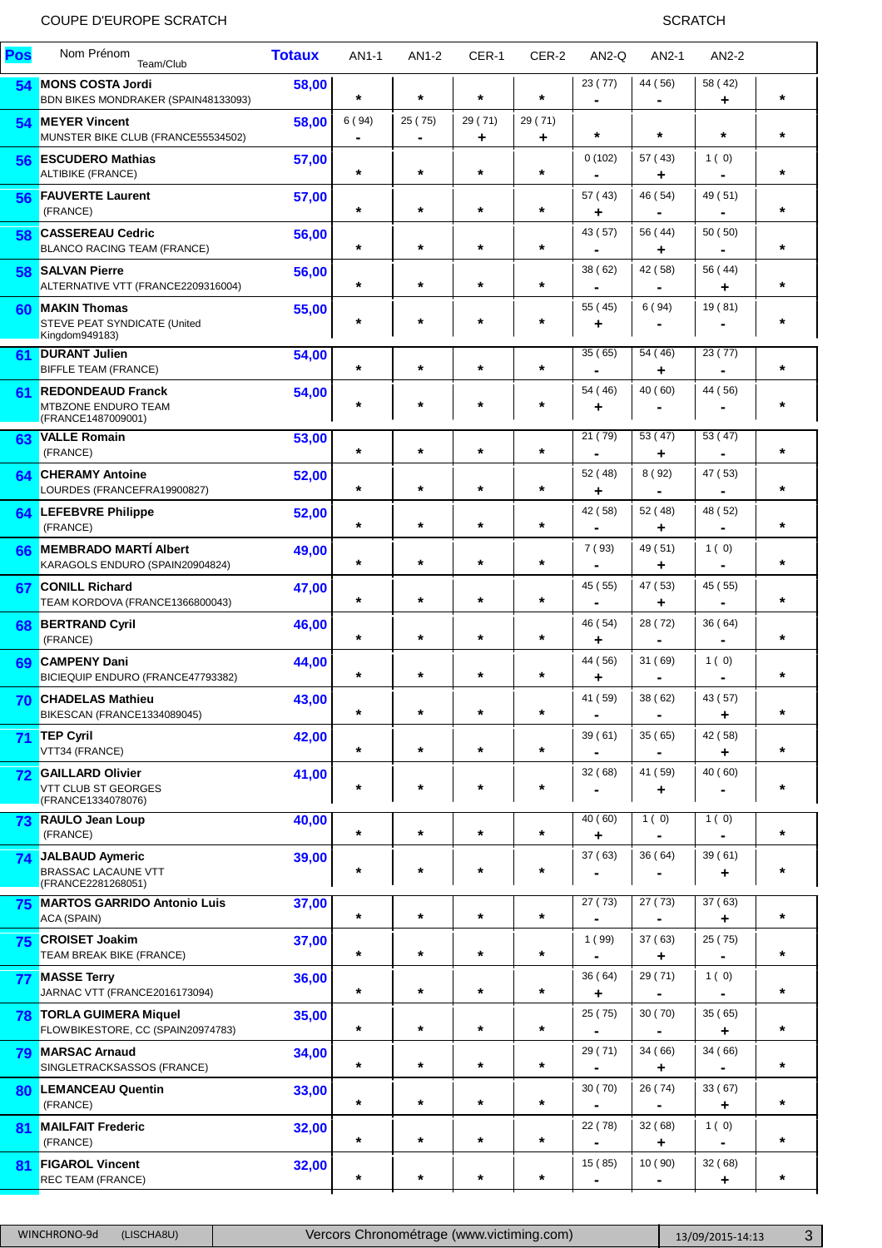### COUPE D'EUROPE SCRATCH COUPE ESTATCH

| Pos | Nom Prénom<br>Team/Club                                                      | <b>Totaux</b> | AN1-1                   | AN1-2                     | CER-1        | CER-2        | AN2-Q                     | AN2-1        | AN2-2                     |         |
|-----|------------------------------------------------------------------------------|---------------|-------------------------|---------------------------|--------------|--------------|---------------------------|--------------|---------------------------|---------|
| 54  | <b>MONS COSTA Jordi</b><br>BDN BIKES MONDRAKER (SPAIN48133093)               | 58,00         | $\star$                 | $\star$                   | $\star$      | $\star$      | 23 (77)                   | 44 (56)      | 58 (42)<br>٠              | $\star$ |
| 54  | <b>MEYER Vincent</b><br>MUNSTER BIKE CLUB (FRANCE55534502)                   | 58,00         | 6(94)<br>$\blacksquare$ | 25 (75)<br>$\blacksquare$ | 29 (71)<br>٠ | 29 (71)<br>٠ | $\star$                   | $\star$      | *                         | $\star$ |
| 56  | <b>ESCUDERO Mathias</b><br><b>ALTIBIKE (FRANCE)</b>                          | 57,00         | $^\star$                | $\star$                   | $\star$      | $\star$      | 0(102)                    | 57 (43)<br>٠ | 1(0)<br>$\blacksquare$    | $\star$ |
| 56  | <b>FAUVERTE Laurent</b><br>(FRANCE)                                          | 57,00         | $^{\star}$              | $\star$                   | $\star$      | $\star$      | 57 (43)<br>٠              | 46 (54)<br>- | 49 (51)                   | $\star$ |
| 58  | <b>CASSEREAU Cedric</b><br><b>BLANCO RACING TEAM (FRANCE)</b>                | 56,00         | $^{\star}$              | $\star$                   | $\star$      | $\star$      | 43 (57)<br>$\blacksquare$ | 56 (44)<br>٠ | 50 (50)                   | $\star$ |
| 58  | <b>SALVAN Pierre</b><br>ALTERNATIVE VTT (FRANCE2209316004)                   | 56,00         | $\star$                 | $\star$                   | $\star$      | $\star$      | 38 (62)                   | 42 (58)      | 56 (44)<br>٠              | $\star$ |
| 60  | <b>MAKIN Thomas</b><br>STEVE PEAT SYNDICATE (United<br>Kingdom949183)        | 55,00         | $^\star$                | $\star$                   | $\star$      | $\star$      | 55 (45)<br>٠              | 6(94)        | 19 (81)                   | $\star$ |
| 61  | <b>DURANT Julien</b><br><b>BIFFLE TEAM (FRANCE)</b>                          | 54,00         | $^{\star}$              | $\star$                   | $\star$      | $\star$      | 35 (65)                   | 54 (46)<br>٠ | 23 (77)                   | $\star$ |
| 61  | <b>REDONDEAUD Franck</b><br><b>MTBZONE ENDURO TEAM</b><br>(FRANCE1487009001) | 54,00         | $\star$                 | $\star$                   | $\star$      | $\star$      | 54 (46)<br>٠              | 40 (60)      | 44 (56)                   | $\star$ |
| 63  | <b>VALLE Romain</b><br>(FRANCE)                                              | 53,00         | $\star$                 | $\star$                   | $\star$      | $\star$      | 21 (79)                   | 53 (47)<br>٠ | $\overline{53(47)}$       | $\star$ |
| 64  | <b>CHERAMY Antoine</b><br>LOURDES (FRANCEFRA19900827)                        | 52,00         | $^{\star}$              | $\star$                   | $\star$      | $\star$      | 52 (48)<br>٠              | 8(92)        | 47 (53)                   | $\star$ |
| 64  | <b>LEFEBVRE Philippe</b><br>(FRANCE)                                         | 52,00         | $^\star$                | $\star$                   | $\star$      | $\star$      | 42 (58)                   | 52 (48)<br>٠ | 48 (52)                   | $\star$ |
| 66  | <b>MEMBRADO MARTÍ Albert</b><br>KARAGOLS ENDURO (SPAIN20904824)              | 49,00         | $^{\star}$              | $\star$                   | $\star$      | $\star$      | 7 (93)                    | 49 (51)<br>٠ | 1(0)<br>$\blacksquare$    | $\star$ |
| 67  | <b>CONILL Richard</b><br>TEAM KORDOVA (FRANCE1366800043)                     | 47,00         | $^{\star}$              | $\star$                   | $\star$      | $\star$      | 45 (55)                   | 47 (53)<br>٠ | 45 (55)                   | $\star$ |
| 68  | <b>BERTRAND Cyril</b><br>(FRANCE)                                            | 46,00         | $^\star$                | $\star$                   | $\star$      | $\star$      | 46 (54)<br>٠              | 28 (72)      | 36 (64)                   | $\star$ |
| 69  | <b>CAMPENY Dani</b><br>BICIEQUIP ENDURO (FRANCE47793382)                     | 44,00         | $^\star$                | $\star$                   | $\star$      | $\star$      | 44 (56)<br>٠              | 31 (69)      | 1(0)                      | $\star$ |
| 70  | <b>CHADELAS Mathieu</b><br>BIKESCAN (FRANCE1334089045)                       | 43,00         |                         |                           |              |              | 41 (59)                   | 38 (62)      | 43 (57)<br>٠              |         |
| 71  | <b>TEP Cyril</b><br>VTT34 (FRANCE)                                           | 42,00         | $^\star$                | $\star$                   | $\star$      | $\star$      | 39(61)                    | 35(65)       | 42 (58)<br>٠              | $\star$ |
| 72  | <b>GAILLARD Olivier</b><br><b>VTT CLUB ST GEORGES</b><br>(FRANCE1334078076)  | 41,00         | $^{\star}$              | $\star$                   | $\star$      | $\star$      | 32 (68)                   | 41 (59)<br>٠ | 40 (60)                   | $\star$ |
| 73  | <b>RAULO Jean Loup</b><br>(FRANCE)                                           | 40,00         | $\star$                 | $\star$                   | $\star$      | $\star$      | 40 (60)<br>٠              | 1(0)<br>-    | 1(0)                      | $\star$ |
| 74  | JALBAUD Aymeric<br><b>BRASSAC LACAUNE VTT</b><br>(FRANCE2281268051)          | 39,00         | $^{\star}$              | $\star$                   | $\star$      | $\star$      | 37 (63)                   | 36 (64)      | 39(61)<br>۰               | $\star$ |
| 75  | <b>MARTOS GARRIDO Antonio Luis</b><br>ACA (SPAIN)                            | 37,00         | $\star$                 | $\star$                   | $\star$      | $\star$      | 27 (73)                   | 27 (73)      | 37 (63)<br>٠              | $\star$ |
| 75  | <b>CROISET Joakim</b><br>TEAM BREAK BIKE (FRANCE)                            | 37,00         | $\star$                 | $\star$                   | $\star$      | $\star$      | 1(99)                     | 37 (63)<br>٠ | 25 (75)                   | $\star$ |
| 77  | <b>MASSE Terry</b><br>JARNAC VTT (FRANCE2016173094)                          | 36,00         | $\star$                 | $\star$                   | $\star$      | $\star$      | 36 (64)<br>٠              | 29 (71)      | 1(0)<br>$\blacksquare$    | $\star$ |
| 78  | <b>TORLA GUIMERA Miquel</b><br>FLOWBIKESTORE, CC (SPAIN20974783)             | 35,00         | $\star$                 | $\star$                   | $\star$      | $\star$      | 25 (75)                   | 30 (70)      | 35 (65)<br>٠              | $\star$ |
| 79  | <b>MARSAC Arnaud</b><br>SINGLETRACKSASSOS (FRANCE)                           | 34,00         | $\star$                 | $\star$                   | $\star$      | $\star$      | 29 (71)                   | 34 (66)<br>٠ | 34 (66)<br>$\blacksquare$ | $\star$ |
| 80  | <b>LEMANCEAU Quentin</b><br>(FRANCE)                                         | 33,00         | $\star$                 | $\star$                   | $\star$      | $\star$      | 30(70)<br>-               | 26 (74)      | 33(67)<br>٠               | $\star$ |
| 81  | <b>MAILFAIT Frederic</b><br>(FRANCE)                                         | 32,00         | $^\star$                | $\star$                   | $\star$      | $\star$      | 22 (78)<br>-              | 32 (68)<br>٠ | 1(0)<br>-                 | $\star$ |
| 81  | <b>FIGAROL Vincent</b><br><b>REC TEAM (FRANCE)</b>                           | 32,00         | *                       | $\star$                   | $\star$      | $\star$      | 15 (85)                   | 10(90)       | 32(68)<br>٠               | $\ast$  |